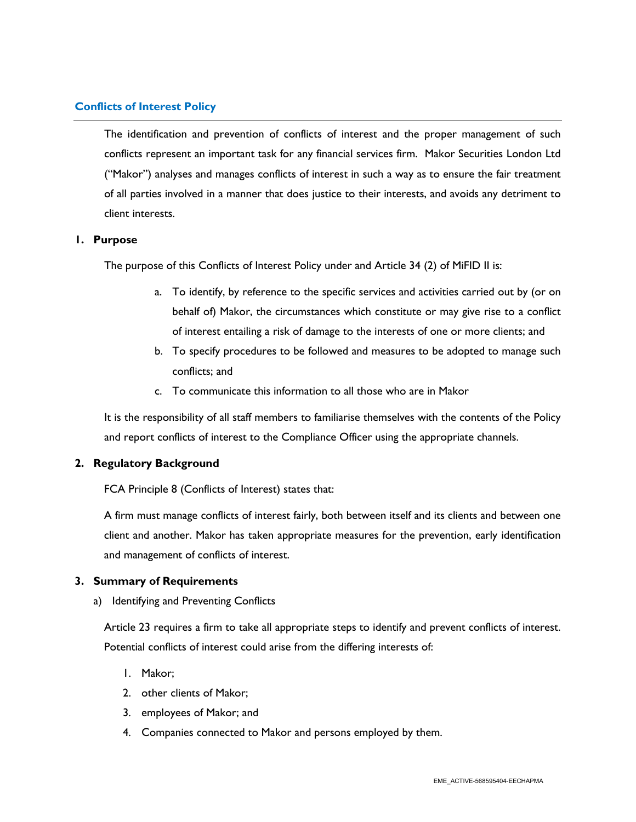# **Conflicts of Interest Policy**

The identification and prevention of conflicts of interest and the proper management of such conflicts represent an important task for any financial services firm. Makor Securities London Ltd ("Makor") analyses and manages conflicts of interest in such a way as to ensure the fair treatment of all parties involved in a manner that does justice to their interests, and avoids any detriment to client interests.

# **1. Purpose**

The purpose of this Conflicts of Interest Policy under and Article 34 (2) of MiFID II is:

- a. To identify, by reference to the specific services and activities carried out by (or on behalf of) Makor, the circumstances which constitute or may give rise to a conflict of interest entailing a risk of damage to the interests of one or more clients; and
- b. To specify procedures to be followed and measures to be adopted to manage such conflicts; and
- c. To communicate this information to all those who are in Makor

It is the responsibility of all staff members to familiarise themselves with the contents of the Policy and report conflicts of interest to the Compliance Officer using the appropriate channels.

# **2. Regulatory Background**

FCA Principle 8 (Conflicts of Interest) states that:

A firm must manage conflicts of interest fairly, both between itself and its clients and between one client and another. Makor has taken appropriate measures for the prevention, early identification and management of conflicts of interest.

# **3. Summary of Requirements**

a) Identifying and Preventing Conflicts

Article 23 requires a firm to take all appropriate steps to identify and prevent conflicts of interest. Potential conflicts of interest could arise from the differing interests of:

- 1. Makor;
- 2. other clients of Makor;
- 3. employees of Makor; and
- 4. Companies connected to Makor and persons employed by them.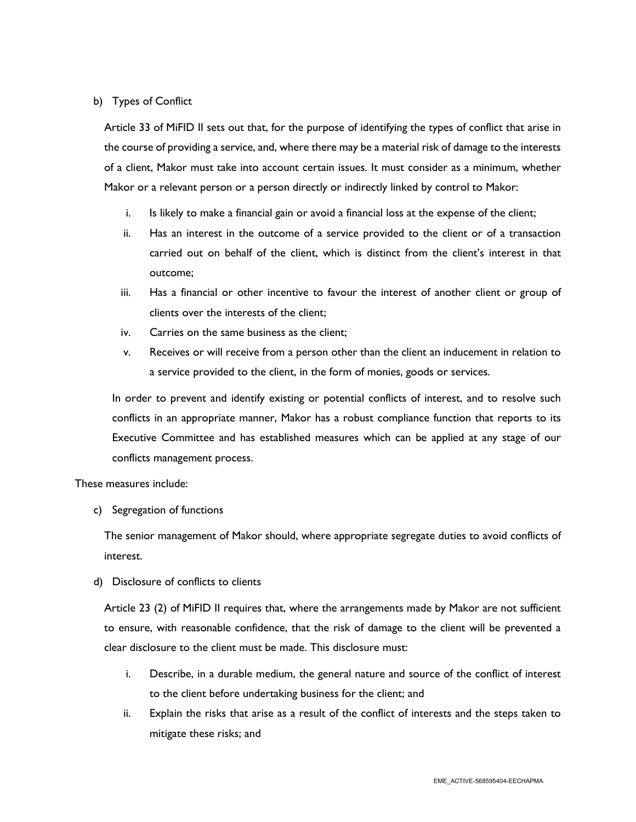# b) Types of Conflict

Article 33 of MiFID II sets out that, for the purpose of identifying the types of conflict that arise in the course of providing a service, and, where there may be a material risk of damage to the interests of a client, Makor must take into account certain issues. It must consider as a minimum, whether Makor or a relevant person or a person directly or indirectly linked by control to Makor:

- i. Is likely to make a financial gain or avoid a financial loss at the expense of the client;
- ii. Has an interest in the outcome of a service provided to the client or of a transaction carried out on behalf of the client, which is distinct from the client's interest in that outcome;
- iii. Has a financial or other incentive to favour the interest of another client or group of clients over the interests of the client;
- iv. Carries on the same business as the client;
- v. Receives or will receive from a person other than the client an inducement in relation to a service provided to the client, in the form of monies, goods or services.

In order to prevent and identify existing or potential conflicts of interest, and to resolve such conflicts in an appropriate manner, Makor has a robust compliance function that reports to its Executive Committee and has established measures which can be applied at any stage of our conflicts management process.

These measures include:

c) Segregation of functions

The senior management of Makor should, where appropriate segregate duties to avoid conflicts of interest.

d) Disclosure of conflicts to clients

Article 23 (2) of MiFID II requires that, where the arrangements made by Makor are not sufficient to ensure, with reasonable confidence, that the risk of damage to the client will be prevented a clear disclosure to the client must be made. This disclosure must:

- i. Describe, in a durable medium, the general nature and source of the conflict of interest to the client before undertaking business for the client; and
- ii. Explain the risks that arise as a result of the conflict of interests and the steps taken to mitigate these risks; and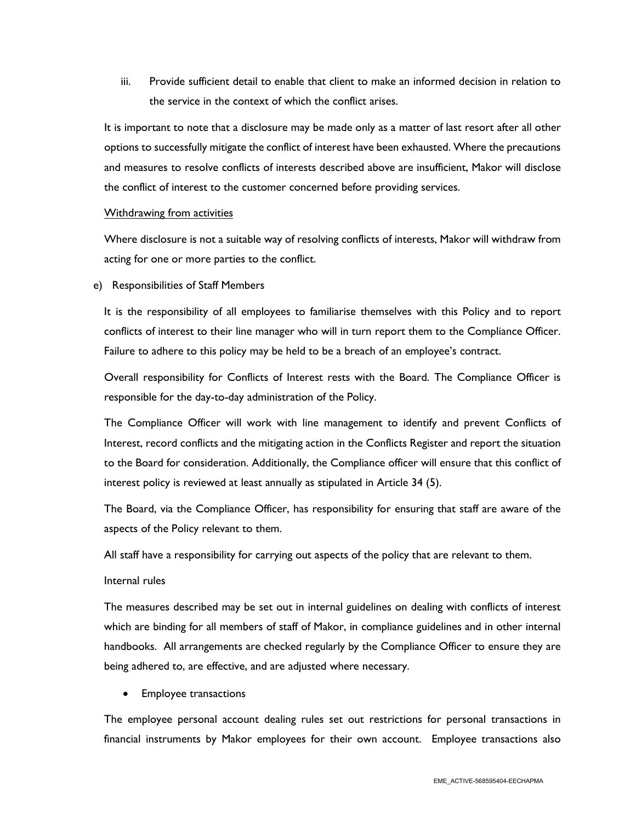iii. Provide sufficient detail to enable that client to make an informed decision in relation to the service in the context of which the conflict arises.

It is important to note that a disclosure may be made only as a matter of last resort after all other options to successfully mitigate the conflict of interest have been exhausted. Where the precautions and measures to resolve conflicts of interests described above are insufficient, Makor will disclose the conflict of interest to the customer concerned before providing services.

### Withdrawing from activities

Where disclosure is not a suitable way of resolving conflicts of interests, Makor will withdraw from acting for one or more parties to the conflict.

e) Responsibilities of Staff Members

It is the responsibility of all employees to familiarise themselves with this Policy and to report conflicts of interest to their line manager who will in turn report them to the Compliance Officer. Failure to adhere to this policy may be held to be a breach of an employee's contract.

Overall responsibility for Conflicts of Interest rests with the Board. The Compliance Officer is responsible for the day-to-day administration of the Policy.

The Compliance Officer will work with line management to identify and prevent Conflicts of Interest, record conflicts and the mitigating action in the Conflicts Register and report the situation to the Board for consideration. Additionally, the Compliance officer will ensure that this conflict of interest policy is reviewed at least annually as stipulated in Article 34 (5).

The Board, via the Compliance Officer, has responsibility for ensuring that staff are aware of the aspects of the Policy relevant to them.

All staff have a responsibility for carrying out aspects of the policy that are relevant to them.

# Internal rules

The measures described may be set out in internal guidelines on dealing with conflicts of interest which are binding for all members of staff of Makor, in compliance guidelines and in other internal handbooks. All arrangements are checked regularly by the Compliance Officer to ensure they are being adhered to, are effective, and are adjusted where necessary.

• Employee transactions

The employee personal account dealing rules set out restrictions for personal transactions in financial instruments by Makor employees for their own account. Employee transactions also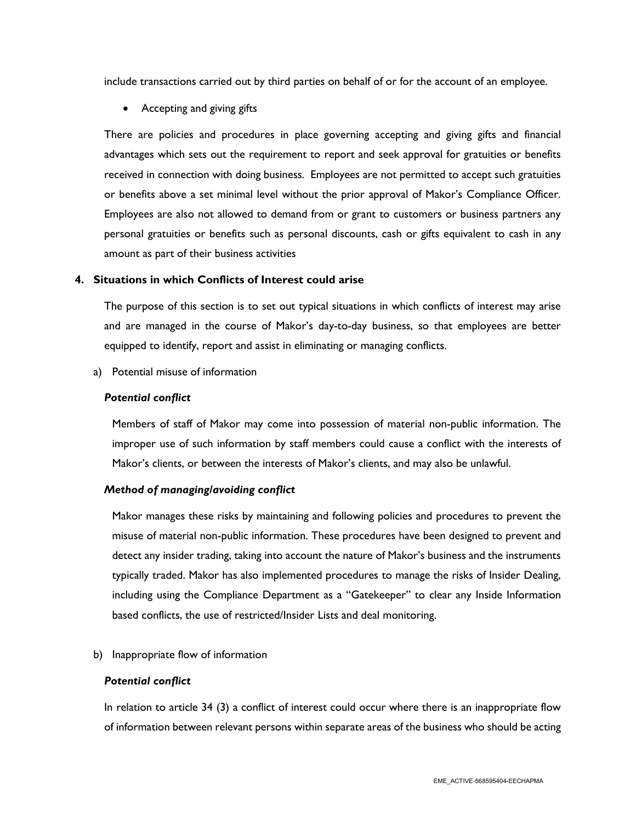include transactions carried out by third parties on behalf of or for the account of an employee.

• Accepting and giving gifts

There are policies and procedures in place governing accepting and giving gifts and financial advantages which sets out the requirement to report and seek approval for gratuities or benefits received in connection with doing business. Employees are not permitted to accept such gratuities or benefits above a set minimal level without the prior approval of Makor's Compliance Officer. Employees are also not allowed to demand from or grant to customers or business partners any personal gratuities or benefits such as personal discounts, cash or gifts equivalent to cash in any amount as part of their business activities

# **4. Situations in which Conflicts of Interest could arise**

The purpose of this section is to set out typical situations in which conflicts of interest may arise and are managed in the course of Makor's day-to-day business, so that employees are better equipped to identify, report and assist in eliminating or managing conflicts.

a) Potential misuse of information

### *Potential conflict*

Members of staff of Makor may come into possession of material non-public information. The improper use of such information by staff members could cause a conflict with the interests of Makor's clients, or between the interests of Makor's clients, and may also be unlawful.

### *Method of managing/avoiding conflict*

Makor manages these risks by maintaining and following policies and procedures to prevent the misuse of material non-public information. These procedures have been designed to prevent and detect any insider trading, taking into account the nature of Makor's business and the instruments typically traded. Makor has also implemented procedures to manage the risks of Insider Dealing, including using the Compliance Department as a "Gatekeeper" to clear any Inside Information based conflicts, the use of restricted/Insider Lists and deal monitoring.

b) Inappropriate flow of information

### *Potential conflict*

In relation to article 34 (3) a conflict of interest could occur where there is an inappropriate flow of information between relevant persons within separate areas of the business who should be acting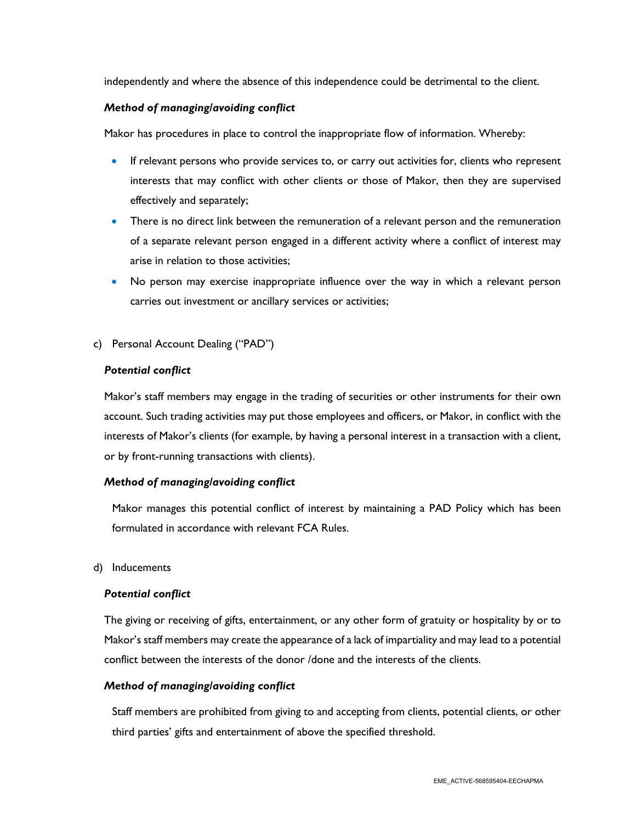independently and where the absence of this independence could be detrimental to the client.

### *Method of managing/avoiding conflict*

Makor has procedures in place to control the inappropriate flow of information. Whereby:

- If relevant persons who provide services to, or carry out activities for, clients who represent interests that may conflict with other clients or those of Makor, then they are supervised effectively and separately;
- There is no direct link between the remuneration of a relevant person and the remuneration of a separate relevant person engaged in a different activity where a conflict of interest may arise in relation to those activities;
- No person may exercise inappropriate influence over the way in which a relevant person carries out investment or ancillary services or activities;
- c) Personal Account Dealing ("PAD")

### *Potential conflict*

Makor's staff members may engage in the trading of securities or other instruments for their own account. Such trading activities may put those employees and officers, or Makor, in conflict with the interests of Makor's clients (for example, by having a personal interest in a transaction with a client, or by front-running transactions with clients).

### *Method of managing/avoiding conflict*

Makor manages this potential conflict of interest by maintaining a PAD Policy which has been formulated in accordance with relevant FCA Rules.

### d) Inducements

# *Potential conflict*

The giving or receiving of gifts, entertainment, or any other form of gratuity or hospitality by or to Makor's staff members may create the appearance of a lack of impartiality and may lead to a potential conflict between the interests of the donor /done and the interests of the clients.

### *Method of managing/avoiding conflict*

Staff members are prohibited from giving to and accepting from clients, potential clients, or other third parties' gifts and entertainment of above the specified threshold.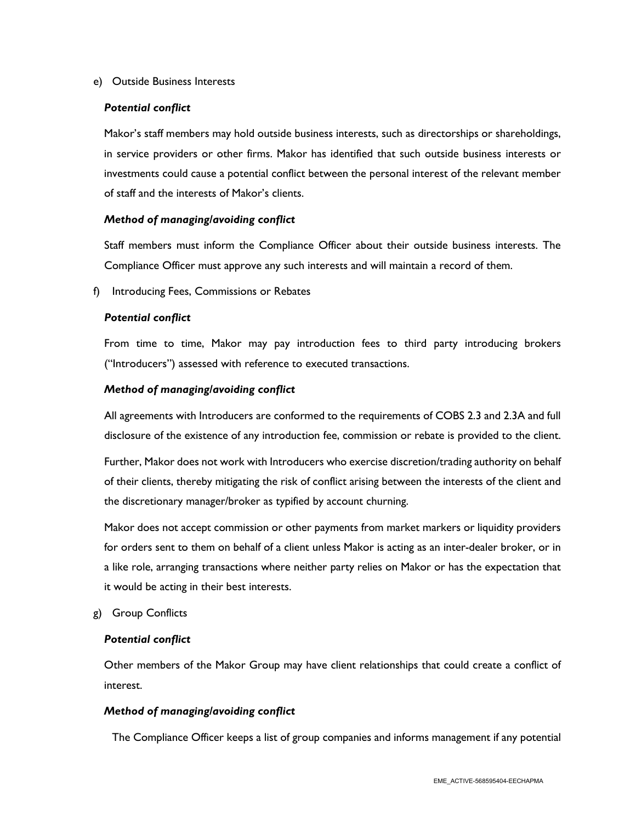### e) Outside Business Interests

### *Potential conflict*

Makor's staff members may hold outside business interests, such as directorships or shareholdings, in service providers or other firms. Makor has identified that such outside business interests or investments could cause a potential conflict between the personal interest of the relevant member of staff and the interests of Makor's clients.

# *Method of managing/avoiding conflict*

Staff members must inform the Compliance Officer about their outside business interests. The Compliance Officer must approve any such interests and will maintain a record of them.

f) Introducing Fees, Commissions or Rebates

### *Potential conflict*

From time to time, Makor may pay introduction fees to third party introducing brokers ("Introducers") assessed with reference to executed transactions.

### *Method of managing/avoiding conflict*

All agreements with Introducers are conformed to the requirements of COBS 2.3 and 2.3A and full disclosure of the existence of any introduction fee, commission or rebate is provided to the client.

Further, Makor does not work with Introducers who exercise discretion/trading authority on behalf of their clients, thereby mitigating the risk of conflict arising between the interests of the client and the discretionary manager/broker as typified by account churning.

Makor does not accept commission or other payments from market markers or liquidity providers for orders sent to them on behalf of a client unless Makor is acting as an inter-dealer broker, or in a like role, arranging transactions where neither party relies on Makor or has the expectation that it would be acting in their best interests.

g) Group Conflicts

# *Potential conflict*

Other members of the Makor Group may have client relationships that could create a conflict of interest.

# *Method of managing/avoiding conflict*

The Compliance Officer keeps a list of group companies and informs management if any potential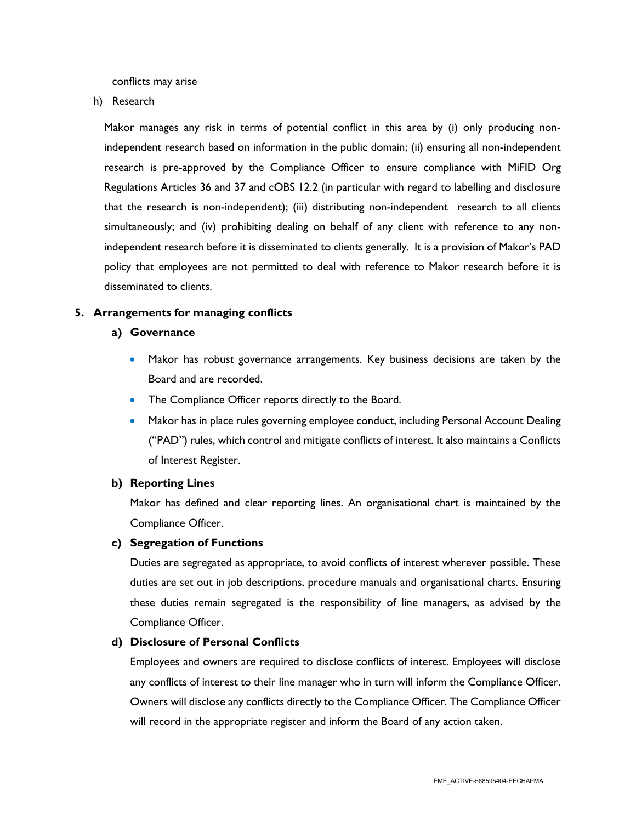conflicts may arise

h) Research

Makor manages any risk in terms of potential conflict in this area by (i) only producing nonindependent research based on information in the public domain; (ii) ensuring all non-independent research is pre-approved by the Compliance Officer to ensure compliance with MiFID Org Regulations Articles 36 and 37 and cOBS 12.2 (in particular with regard to labelling and disclosure that the research is non-independent); (iii) distributing non-independent research to all clients simultaneously; and (iv) prohibiting dealing on behalf of any client with reference to any nonindependent research before it is disseminated to clients generally. It is a provision of Makor's PAD policy that employees are not permitted to deal with reference to Makor research before it is disseminated to clients.

# **5. Arrangements for managing conflicts**

- **a) Governance** 
	- Makor has robust governance arrangements. Key business decisions are taken by the Board and are recorded.
	- The Compliance Officer reports directly to the Board.
	- Makor has in place rules governing employee conduct, including Personal Account Dealing ("PAD") rules, which control and mitigate conflicts of interest. It also maintains a Conflicts of Interest Register.

### **b) Reporting Lines**

Makor has defined and clear reporting lines. An organisational chart is maintained by the Compliance Officer.

### **c) Segregation of Functions**

Duties are segregated as appropriate, to avoid conflicts of interest wherever possible. These duties are set out in job descriptions, procedure manuals and organisational charts. Ensuring these duties remain segregated is the responsibility of line managers, as advised by the Compliance Officer.

### **d) Disclosure of Personal Conflicts**

Employees and owners are required to disclose conflicts of interest. Employees will disclose any conflicts of interest to their line manager who in turn will inform the Compliance Officer. Owners will disclose any conflicts directly to the Compliance Officer. The Compliance Officer will record in the appropriate register and inform the Board of any action taken.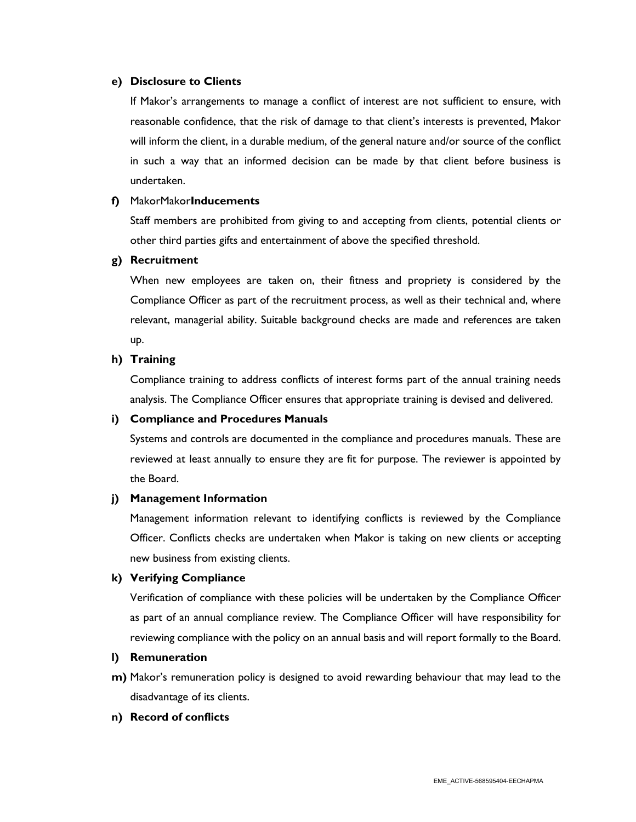### **e) Disclosure to Clients**

If Makor's arrangements to manage a conflict of interest are not sufficient to ensure, with reasonable confidence, that the risk of damage to that client's interests is prevented, Makor will inform the client, in a durable medium, of the general nature and/or source of the conflict in such a way that an informed decision can be made by that client before business is undertaken.

### **f)** MakorMakor**Inducements**

Staff members are prohibited from giving to and accepting from clients, potential clients or other third parties gifts and entertainment of above the specified threshold.

### **g) Recruitment**

When new employees are taken on, their fitness and propriety is considered by the Compliance Officer as part of the recruitment process, as well as their technical and, where relevant, managerial ability. Suitable background checks are made and references are taken up.

# **h) Training**

Compliance training to address conflicts of interest forms part of the annual training needs analysis. The Compliance Officer ensures that appropriate training is devised and delivered.

# **i) Compliance and Procedures Manuals**

Systems and controls are documented in the compliance and procedures manuals. These are reviewed at least annually to ensure they are fit for purpose. The reviewer is appointed by the Board.

### **j) Management Information**

Management information relevant to identifying conflicts is reviewed by the Compliance Officer. Conflicts checks are undertaken when Makor is taking on new clients or accepting new business from existing clients.

### **k) Verifying Compliance**

Verification of compliance with these policies will be undertaken by the Compliance Officer as part of an annual compliance review. The Compliance Officer will have responsibility for reviewing compliance with the policy on an annual basis and will report formally to the Board.

### **l) Remuneration**

**m)** Makor's remuneration policy is designed to avoid rewarding behaviour that may lead to the disadvantage of its clients.

# **n) Record of conflicts**